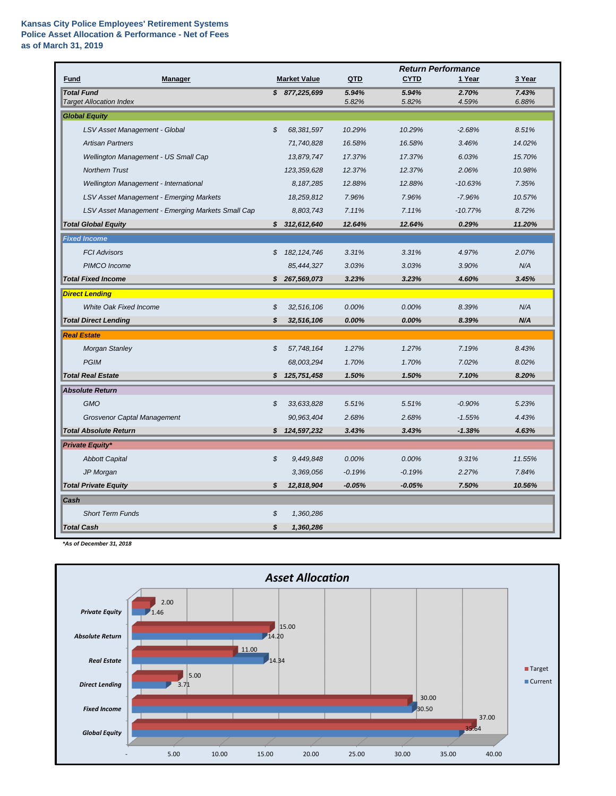## **Kansas City Police Employees' Retirement Systems Police Asset Allocation & Performance - Net of Fees as of March 31, 2019**

|                                                     |                            |                     |                | <b>Return Performance</b> |                |                |  |
|-----------------------------------------------------|----------------------------|---------------------|----------------|---------------------------|----------------|----------------|--|
| <b>Fund</b><br><b>Manager</b>                       |                            | <b>Market Value</b> | QTD            | <b>CYTD</b>               | 1 Year         | 3 Year         |  |
| <b>Total Fund</b><br><b>Target Allocation Index</b> |                            | \$877,225,699       | 5.94%<br>5.82% | 5.94%<br>5.82%            | 2.70%<br>4.59% | 7.43%<br>6.88% |  |
| <b>Global Equity</b>                                |                            |                     |                |                           |                |                |  |
| LSV Asset Management - Global                       | $\boldsymbol{\mathcal{S}}$ | 68,381,597          | 10.29%         | 10.29%                    | $-2.68%$       | 8.51%          |  |
| <b>Artisan Partners</b>                             |                            | 71,740,828          | 16.58%         | 16.58%                    | 3.46%          | 14.02%         |  |
| Wellington Management - US Small Cap                |                            | 13,879,747          | 17.37%         | 17.37%                    | 6.03%          | 15.70%         |  |
| <b>Northern Trust</b>                               |                            | 123,359,628         | 12.37%         | 12.37%                    | 2.06%          | 10.98%         |  |
| Wellington Management - International               |                            | 8,187,285           | 12.88%         | 12.88%                    | $-10.63%$      | 7.35%          |  |
| <b>LSV Asset Management - Emerging Markets</b>      |                            | 18,259,812          | 7.96%          | 7.96%                     | $-7.96%$       | 10.57%         |  |
| LSV Asset Management - Emerging Markets Small Cap   |                            | 8,803,743           | 7.11%          | 7.11%                     | $-10.77%$      | 8.72%          |  |
| <b>Total Global Equity</b>                          |                            | \$312,612,640       | 12.64%         | 12.64%                    | 0.29%          | 11.20%         |  |
| <b>Fixed Income</b>                                 |                            |                     |                |                           |                |                |  |
| <b>FCI Advisors</b>                                 | \$                         | 182, 124, 746       | 3.31%          | 3.31%                     | 4.97%          | 2.07%          |  |
| PIMCO Income                                        |                            | 85,444,327          | 3.03%          | 3.03%                     | 3.90%          | N/A            |  |
| <b>Total Fixed Income</b>                           | S                          | 267,569,073         | 3.23%          | 3.23%                     | 4.60%          | 3.45%          |  |
| <b>Direct Lending</b>                               |                            |                     |                |                           |                |                |  |
| <b>White Oak Fixed Income</b>                       | \$                         | 32,516,106          | 0.00%          | 0.00%                     | 8.39%          | N/A            |  |
| <b>Total Direct Lending</b>                         | S                          | 32,516,106          | 0.00%          | 0.00%                     | 8.39%          | N/A            |  |
| <b>Real Estate</b>                                  |                            |                     |                |                           |                |                |  |
| <b>Morgan Stanley</b>                               | \$                         | 57,748,164          | 1.27%          | 1.27%                     | 7.19%          | 8.43%          |  |
| <b>PGIM</b>                                         |                            | 68,003,294          | 1.70%          | 1.70%                     | 7.02%          | 8.02%          |  |
| <b>Total Real Estate</b>                            |                            | \$125,751,458       | 1.50%          | 1.50%                     | 7.10%          | 8.20%          |  |
| <b>Absolute Return</b>                              |                            |                     |                |                           |                |                |  |
| <b>GMO</b>                                          | \$                         | 33,633,828          | 5.51%          | 5.51%                     | $-0.90%$       | 5.23%          |  |
| <b>Grosvenor Captal Management</b>                  |                            | 90,963,404          | 2.68%          | 2.68%                     | $-1.55%$       | 4.43%          |  |
| <b>Total Absolute Return</b>                        | \$                         | 124,597,232         | 3.43%          | 3.43%                     | $-1.38%$       | 4.63%          |  |
| <b>Private Equity*</b>                              |                            |                     |                |                           |                |                |  |
| <b>Abbott Capital</b>                               | \$                         | 9,449,848           | 0.00%          | 0.00%                     | 9.31%          | 11.55%         |  |
| JP Morgan                                           |                            | 3,369,056           | $-0.19%$       | $-0.19%$                  | 2.27%          | 7.84%          |  |
| <b>Total Private Equity</b>                         | \$                         | 12,818,904          | $-0.05%$       | $-0.05%$                  | 7.50%          | 10.56%         |  |
| Cash                                                |                            |                     |                |                           |                |                |  |
| <b>Short Term Funds</b>                             | \$                         | 1,360,286           |                |                           |                |                |  |
| <b>Total Cash</b>                                   | \$                         | 1,360,286           |                |                           |                |                |  |

*\*As of December 31, 2018*